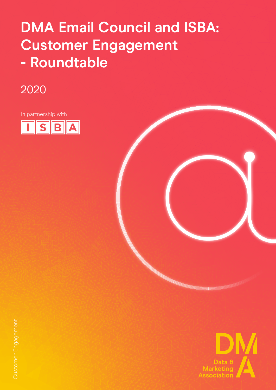# DMA Email Council and ISBA: DMA Email Council and ISBA:<br>Customer Engagement<br>- Roundtable<br>2020<br>**ISBA Customer Engagement - Roundtable**

## 2020

In partnership with



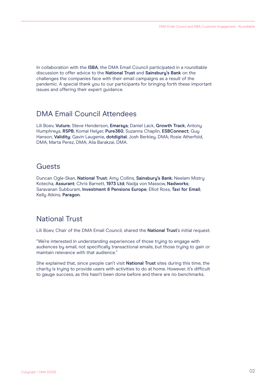In collaboration with the **ISBA**, the DMA Email Council participated in a roundtable discussion to offer advice to the **National Trust** and **Sainsbury's Bank** on the challenges the companies face with their email campaigns as a result of the pandemic. A special thank you to our participants for bringing forth these important issues and offering their expert guidance.

### DMA Email Council Attendees

Lili Boev, **Vuture**; Steve Henderson, **Emarsys**; Daniel Lack, **Growth Track**; Antony Humphreys, **RSPB**; Komal Helyer, **Pure360**; Suzanna Chaplin, **ESBConnect**; Guy Hanson, **Validity**; Gavin Laugenie, **dotdigital**; Josh Berkley, DMA; Rosie Atherfold, DMA; Marta Perez, DMA; Alia Barakzai, DMA.

### Guests

Duncan Ogle-Skan, **National Trust**; Amy Collins, **Sainsbury's Bank**; Neelam Mistry Kotecha, **Assurant**; Chris Barnett, **1973 Ltd**; Nadja von Massow, **Nadworks**; Saravanan Subburam, **Investment & Pensions Europe**; Elliot Ross, **Taxi for Email**; Kelly Atkins, **Paragon**.

### National Trust

Lili Boev, Chair of the DMA Email Council, shared the **National Trust**'s initial request:

"We're interested in understanding experiences of those trying to engage with audiences by email, not specifically transactional emails, but those trying to gain or maintain relevance with that audience."

She explained that, since people can't visit **National Trust** sites during this time, the charity is trying to provide users with activities to do at home. However, it's difficult to gauge success, as this hasn't been done before and there are no benchmarks.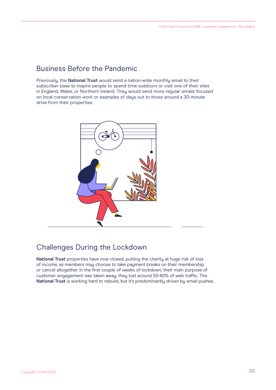### Business Before the Pandemic

Previously, the **National Trust** would send a nation-wide monthly email to their subscriber base to inspire people to spend time outdoors or visit one of their sites in England, Wales, or Northern Ireland. They would send more regular emails focused on local conservation work or examples of days out to those around a 30-minute drive from their properties.



### Challenges During the Lockdown

**National Trust** properties have now closed, putting the charity at huge risk of loss of income, as members may choose to take payment breaks on their membership or cancel altogether. In the first couple of weeks of lockdown, their main purpose of customer engagement was taken away; they lost around 50-60% of web traffic. The **National Trust** is working hard to rebuild, but it's predominantly driven by email pushes.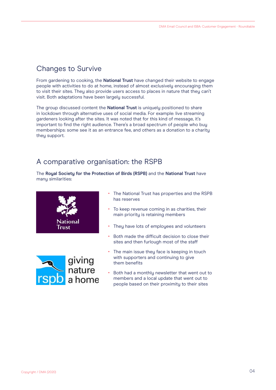### Changes to Survive

From gardening to cooking, the **National Trust** have changed their website to engage people with activities to do at home, instead of almost exclusively encouraging them to visit their sites. They also provide users access to places in nature that they can't visit. Both adaptations have been largely successful.

The group discussed content the **National Trust** is uniquely positioned to share in lockdown through alternative uses of social media. For example: live streaming gardeners looking after the sites. It was noted that for this kind of message, it's important to find the right audience. There's a broad spectrum of people who buy memberships: some see it as an entrance fee, and others as a donation to a charity they support.

### A comparative organisation: the RSPB

The **Royal Society for the Protection of Birds (RSPB)** and the **National Trust** have many similarities:



- The National Trust has properties and the RSPB has reserves
- To keep revenue coming in as charities, their main priority is retaining members
- They have lots of employees and volunteers
- Both made the difficult decision to close their sites and then furlough most of the staff



- The main issue they face is keeping in touch with supporters and continuing to give them benefits
- Both had a monthly newsletter that went out to members and a local update that went out to people based on their proximity to their sites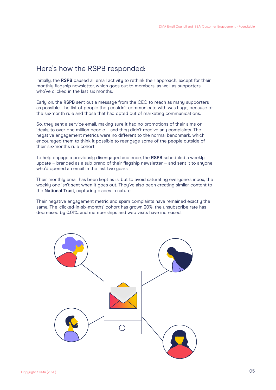### Here's how the RSPB responded:

Initially, the **RSPB** paused all email activity to rethink their approach, except for their monthly flagship newsletter, which goes out to members, as well as supporters who've clicked in the last six months.

Early on, the **RSPB** sent out a message from the CEO to reach as many supporters as possible. The list of people they couldn't communicate with was huge, because of the six-month rule and those that had opted out of marketing communications.

So, they sent a service email, making sure it had no promotions of their aims or ideals, to over one million people – and they didn't receive any complaints. The negative engagement metrics were no different to the normal benchmark, which encouraged them to think it possible to reengage some of the people outside of their six-months rule cohort.

To help engage a previously disengaged audience, the **RSPB** scheduled a weekly update – branded as a sub brand of their flagship newsletter – and sent it to anyone who'd opened an email in the last two years.

Their monthly email has been kept as is, but to avoid saturating everyone's inbox, the weekly one isn't sent when it goes out. They've also been creating similar content to the **National Trust**, capturing places in nature.

Their negative engagement metric and spam complaints have remained exactly the same. The 'clicked-in-six-months' cohort has grown 20%, the unsubscribe rate has decreased by 0.01%, and memberships and web visits have increased.

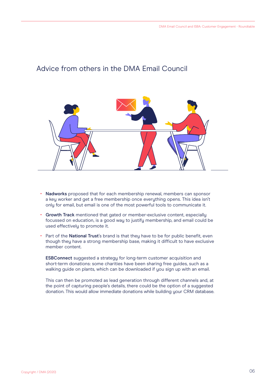### Advice from others in the DMA Email Council



- **Nadworks** proposed that for each membership renewal, members can sponsor a key worker and get a free membership once everything opens. This idea isn't only for email, but email is one of the most powerful tools to communicate it.
- **Growth Track** mentioned that gated or member-exclusive content, especially focussed on education, is a good way to justify membership, and email could be used effectively to promote it.
- Part of the **National Trust**'s brand is that they have to be for public benefit, even though they have a strong membership base, making it difficult to have exclusive member content.

**ESBConnect** suggested a strategy for long-term customer acquisition and short-term donations: some charities have been sharing free guides, such as a walking guide on plants, which can be downloaded if you sign up with an email.

This can then be promoted as lead generation through different channels and, at the point of capturing people's details, there could be the option of a suggested donation. This would allow immediate donations while building your CRM database.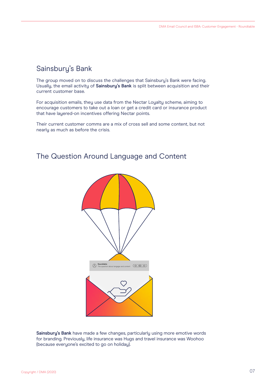### Sainsbury's Bank

The group moved on to discuss the challenges that Sainsbury's Bank were facing. Usually, the email activity of **Sainsbury's Bank** is split between acquisition and their current customer base.

For acquisition emails, they use data from the Nectar Loyalty scheme, aiming to encourage customers to take out a loan or get a credit card or insurance product that have layered-on incentives offering Nectar points.

Their current customer comms are a mix of cross sell and some content, but not nearly as much as before the crisis.

### The Question Around Language and Content



**Sainsbury's Bank** have made a few changes, particularly using more emotive words for branding. Previously, life insurance was Hugs and travel insurance was Woohoo (because everyone's excited to go on holiday).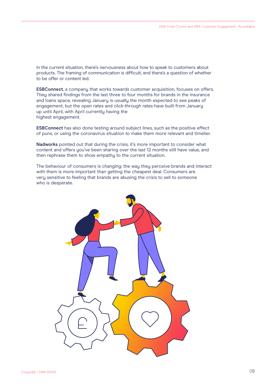In the current situation, there's nervousness about how to speak to customers about products. The framing of communication is difficult, and there's a question of whether to be offer or content led.

**ESBConnect**, a company that works towards customer acquisition, focuses on offers. They shared findings from the last three to four months for brands in the insurance and loans space, revealing January is usually the month expected to see peaks of engagement, but the open rates and click-through rates have built from January up until April, with April currently having the highest engagement.

**ESBConnect** has also done testing around subject lines, such as the positive effect of puns, or using the coronavirus situation to make them more relevant and timelier.

**Nadworks** pointed out that during the crisis, it's more important to consider what content and offers you've been sharing over the last 12 months still have value, and then rephrase them to show empathy to the current situation.

The behaviour of consumers is changing: the way they perceive brands and interact with them is more important than getting the cheapest deal. Consumers are very sensitive to feeling that brands are abusing the crisis to sell to someone who is desperate.

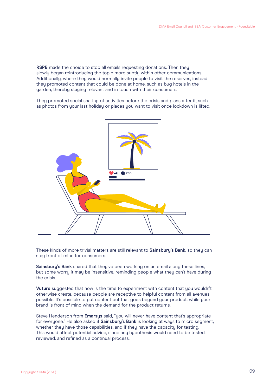**RSPB** made the choice to stop all emails requesting donations. Then they slowly began reintroducing the topic more subtly within other communications. Additionally, where they would normally invite people to visit the reserves, instead they promoted content that could be done at home, such as bug hotels in the garden, thereby staying relevant and in touch with their consumers.

They promoted social sharing of activities before the crisis and plans after it, such as photos from your last holiday or places you want to visit once lockdown is lifted.



These kinds of more trivial matters are still relevant to **Sainsbury's Bank**, so they can stay front of mind for consumers.

**Sainsbury's Bank** shared that they've been working on an email along these lines, but some worry it may be insensitive, reminding people what they can't have during the crisis.

**Vuture** suggested that now is the time to experiment with content that you wouldn't otherwise create, because people are receptive to helpful content from all avenues possible. It's possible to put content out that goes beyond your product, while your brand is front of mind when the demand for the product returns.

Steve Henderson from **Emarsys** said, "you will never have content that's appropriate for everyone." He also asked if **Sainsbury's Bank** is looking at ways to micro segment, whether they have those capabilities, and if they have the capacity for testing. This would affect potential advice, since any hypothesis would need to be tested, reviewed, and refined as a continual process.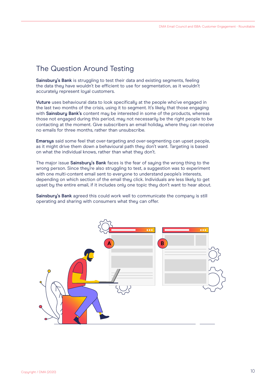### The Question Around Testing

**Sainsbury's Bank** is struggling to test their data and existing segments, feeling the data they have wouldn't be efficient to use for segmentation, as it wouldn't accurately represent loyal customers.

**Vuture** uses behavioural data to look specifically at the people who've engaged in the last two months of the crisis, using it to segment. It's likely that those engaging with **Sainsbury Bank's** content may be interested in some of the products, whereas those not engaged during this period, may not necessarily be the right people to be contacting at the moment. Give subscribers an email holiday, where they can receive no emails for three months, rather than unsubscribe.

**Emarsys** said some feel that over-targeting and over-segmenting can upset people, as it might drive them down a behavioural path they don't want. Targeting is based on what the individual knows, rather than what they don't.

The major issue **Sainsbury's Bank** faces is the fear of saying the wrong thing to the wrong person. Since they're also struggling to test, a suggestion was to experiment with one multi-content email sent to everyone to understand people's interests, depending on which section of the email they click. Individuals are less likely to get upset bu the entire email, if it includes only one topic they don't want to hear about.

**Sainsbury's Bank** agreed this could work well to communicate the company is still operating and sharing with consumers what they can offer.

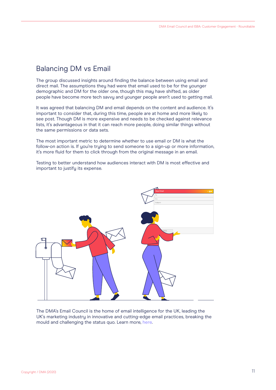### Balancing DM vs Email

The group discussed insights around finding the balance between using email and direct mail. The assumptions they had were that email used to be for the younger demographic and DM for the older one, though this may have shifted, as older people have become more tech savvy and younger people aren't used to getting mail.

It was agreed that balancing DM and email depends on the content and audience. It's important to consider that, during this time, people are at home and more likely to see post. Though DM is more expensive and needs to be checked against relevance lists, it's advantageous in that it can reach more people, doing similar things without the same permissions or data sets.

The most important metric to determine whether to use email or DM is what the follow-on action is. If you're trying to send someone to a sign-up or more information, it's more fluid for them to click through from the original message in an email.

Testing to better understand how audiences interact with DM is most effective and important to justify its expense.



The DMA's Email Council is the home of email intelligence for the UK, leading the UK's marketing industry in innovative and cutting-edge email practices, breaking the mould and challenging the status quo. Learn more, [here.](https://dma.org.uk/communities/email-council)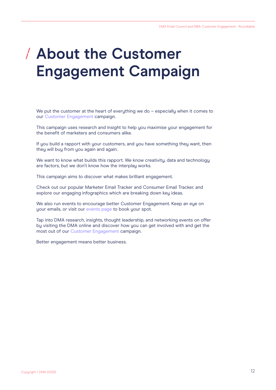# **About the Customer Engagement Campaign**

We put the customer at the heart of everything we do – especially when it comes to our [Customer Engagement](https://dma.org.uk/customer-engagement) campaign.

This campaign uses research and insight to help you maximise your engagement for the benefit of marketers and consumers alike.

If you build a rapport with your customers, and you have something they want, then they will buy from you again and again.

We want to know what builds this rapport. We know creativity, data and technology are factors, but we don't know how the interplay works.

This campaign aims to discover what makes brilliant engagement.

Check out our popular Marketer Email Tracker and Consumer Email Tracker, and explore our engaging infographics which are breaking down key ideas.

We also run events to encourage better Customer Engagement. Keep an eye on your emails, or visit our [events page](https://dma.org.uk/events) to book your spot.

Tap into DMA research, insights, thought leadership, and networking events on offer by visiting the DMA online and discover how you can get involved with and get the most out of our [Customer Engagement](https://dma.org.uk/customer-engagement) campaign.

Better engagement means better business.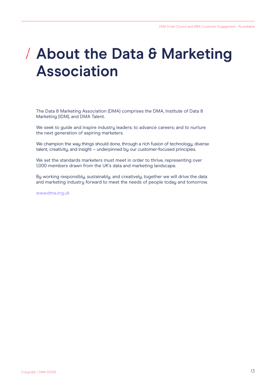# **About the Data & Marketing Association**

The Data & Marketing Association (DMA) comprises the DMA, Institute of Data & Marketing (IDM), and DMA Talent.

We seek to guide and inspire industry leaders; to advance careers; and to nurture the next generation of aspiring marketers.

We champion the way things should done, through a rich fusion of technology, diverse talent, creativity, and insight – underpinned by our customer-focused principles.

We set the standards marketers must meet in order to thrive, representing over 1,000 members drawn from the UK's data and marketing landscape.

By working responsibly, sustainably, and creatively, together we will drive the data and marketing industry forward to meet the needs of people today and tomorrow.

[www.dma.org.uk](http://www.dma.org.uk)